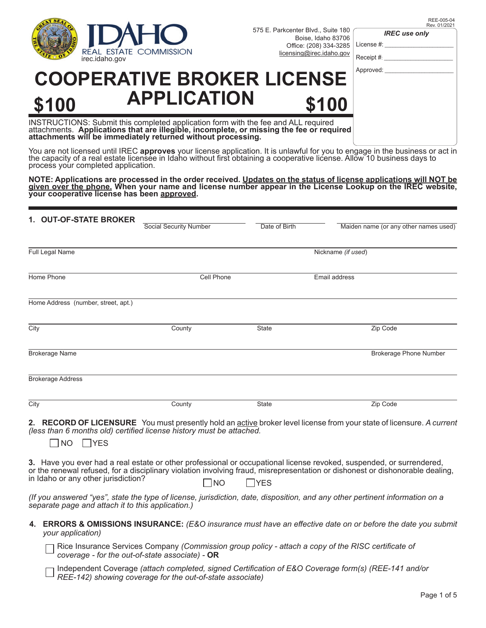

575 E. Parkcenter Blvd., Suite 180 Boise, Idaho 83706 Office: (208) 334-3285<br>licensing@irec.idaho.gov

*IREC use only*

| REE-005-04   |
|--------------|
| Rev. 01/2021 |

License  $#$ : Receipt #:

#### Approved:

# **COOPERATIVE BROKER LICENSE \$100 APPLICATION \$100**

INSTRUCTIONS: Submit this completed application form with the fee and ALL required attachments. **Applications that are illegible, incomplete, or missing the fee or required attachments will be immediately returned without processing.**

You are not licensed until IREC **approves** your license application. It is unlawful for you to engage in the business or act in<br>the capacity of a real estate licensee in Idaho without first obtaining a cooperative license. process your completed application.

**NOTE: Applications are processed in the order received. Updates on the status of license applications will NOT be given over the phone. When your name and license number appear in the License Lookup on the IREC website, your cooperative license has been approved.**

| 1. OUT-OF-STATE BROKER              |                               |                    |                                       |  |
|-------------------------------------|-------------------------------|--------------------|---------------------------------------|--|
|                                     | <b>Social Security Number</b> | Date of Birth      | Maiden name (or any other names used) |  |
| Full Legal Name                     |                               | Nickname (if used) |                                       |  |
| Home Phone                          | Cell Phone                    |                    | Email address                         |  |
| Home Address (number, street, apt.) |                               |                    |                                       |  |
| City                                | County                        | State              | Zip Code                              |  |
| <b>Brokerage Name</b>               |                               |                    | <b>Brokerage Phone Number</b>         |  |
| <b>Brokerage Address</b>            |                               |                    |                                       |  |
| City                                | County                        | State              | Zip Code                              |  |

**2. RECORD OF LICENSURE** You must presently hold an active broker level license from your state of licensure. *A current (less than 6 months old) certified license history must be attached.* 

NO YES

**3.** Have you ever had a real estate or other professional or occupational license revoked, suspended, or surrendered, or the renewal refused, for a disciplinary violation involving fraud, misrepresentation or dishonest or dishonorable dealing, in Idaho or any other jurisdiction?  $\Box$  NO  $\Box$  YES

*(If you answered "yes", state the type of license, jurisdiction, date, disposition, and any other pertinent information on a separate page and attach it to this application.)*

**4. ERRORS & OMISSIONS INSURANCE:** *(E&O insurance must have an eff ective date on or before the date you submit your application)*

Rice Insurance Services Company *(Commission group policy - attach a copy of the RISC certificate of coverage - for the out-of-state associate) -* **OR**

Independent Coverage *(attach completed, signed Certification of E&O Coverage form(s) (REE-141 and/or REE-142) showing coverage for the out-of-state associate)*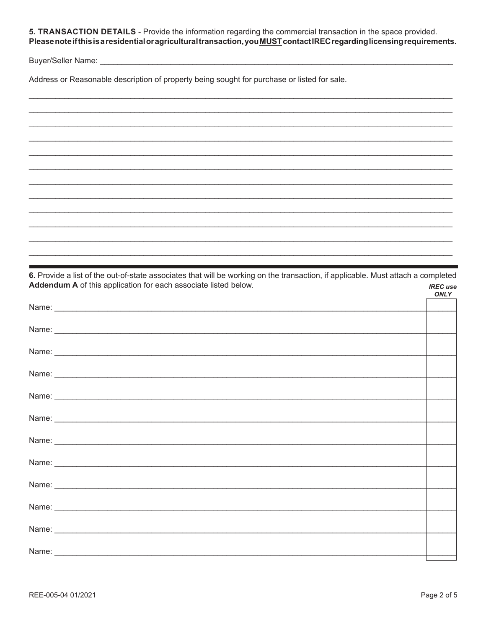5. TRANSACTION DETAILS - Provide the information regarding the commercial transaction in the space provided. Please note if this is a residential or agricultural transaction, you MUST contact IREC regarding licensing requirements.

Address or Reasonable description of property being sought for purchase or listed for sale.

|         | $\begin{array}{cccccccccc} \multicolumn{2}{c}{} & \multicolumn{2}{c}{} & \multicolumn{2}{c}{} & \multicolumn{2}{c}{} & \multicolumn{2}{c}{} & \multicolumn{2}{c}{} & \multicolumn{2}{c}{} & \multicolumn{2}{c}{} & \multicolumn{2}{c}{} & \multicolumn{2}{c}{} & \multicolumn{2}{c}{} & \multicolumn{2}{c}{} & \multicolumn{2}{c}{} & \multicolumn{2}{c}{} & \multicolumn{2}{c}{} & \multicolumn{2}{c}{} & \multicolumn{2}{c}{} & \multicolumn{2}{c}{} & \multicolumn{2}{c}{} & \mult$ |
|---------|----------------------------------------------------------------------------------------------------------------------------------------------------------------------------------------------------------------------------------------------------------------------------------------------------------------------------------------------------------------------------------------------------------------------------------------------------------------------------------------|
|         |                                                                                                                                                                                                                                                                                                                                                                                                                                                                                        |
|         |                                                                                                                                                                                                                                                                                                                                                                                                                                                                                        |
|         |                                                                                                                                                                                                                                                                                                                                                                                                                                                                                        |
|         |                                                                                                                                                                                                                                                                                                                                                                                                                                                                                        |
|         |                                                                                                                                                                                                                                                                                                                                                                                                                                                                                        |
|         |                                                                                                                                                                                                                                                                                                                                                                                                                                                                                        |
|         |                                                                                                                                                                                                                                                                                                                                                                                                                                                                                        |
|         |                                                                                                                                                                                                                                                                                                                                                                                                                                                                                        |
|         |                                                                                                                                                                                                                                                                                                                                                                                                                                                                                        |
|         |                                                                                                                                                                                                                                                                                                                                                                                                                                                                                        |
|         |                                                                                                                                                                                                                                                                                                                                                                                                                                                                                        |
|         |                                                                                                                                                                                                                                                                                                                                                                                                                                                                                        |
|         |                                                                                                                                                                                                                                                                                                                                                                                                                                                                                        |
|         |                                                                                                                                                                                                                                                                                                                                                                                                                                                                                        |
|         |                                                                                                                                                                                                                                                                                                                                                                                                                                                                                        |
|         |                                                                                                                                                                                                                                                                                                                                                                                                                                                                                        |
|         |                                                                                                                                                                                                                                                                                                                                                                                                                                                                                        |
|         |                                                                                                                                                                                                                                                                                                                                                                                                                                                                                        |
|         | _____________________                                                                                                                                                                                                                                                                                                                                                                                                                                                                  |
|         |                                                                                                                                                                                                                                                                                                                                                                                                                                                                                        |
|         |                                                                                                                                                                                                                                                                                                                                                                                                                                                                                        |
|         |                                                                                                                                                                                                                                                                                                                                                                                                                                                                                        |
|         |                                                                                                                                                                                                                                                                                                                                                                                                                                                                                        |
|         |                                                                                                                                                                                                                                                                                                                                                                                                                                                                                        |
| _______ |                                                                                                                                                                                                                                                                                                                                                                                                                                                                                        |
|         |                                                                                                                                                                                                                                                                                                                                                                                                                                                                                        |
|         |                                                                                                                                                                                                                                                                                                                                                                                                                                                                                        |

| 6. Provide a list of the out-of-state associates that will be working on the transaction, if applicable. Must attach a completed |                                |
|----------------------------------------------------------------------------------------------------------------------------------|--------------------------------|
| Addendum A of this application for each associate listed below.                                                                  | <b>IREC</b> use<br><b>ONLY</b> |
|                                                                                                                                  |                                |
|                                                                                                                                  |                                |
|                                                                                                                                  |                                |
|                                                                                                                                  |                                |
|                                                                                                                                  |                                |
|                                                                                                                                  |                                |
|                                                                                                                                  |                                |
|                                                                                                                                  |                                |
|                                                                                                                                  |                                |
|                                                                                                                                  |                                |
|                                                                                                                                  |                                |
|                                                                                                                                  |                                |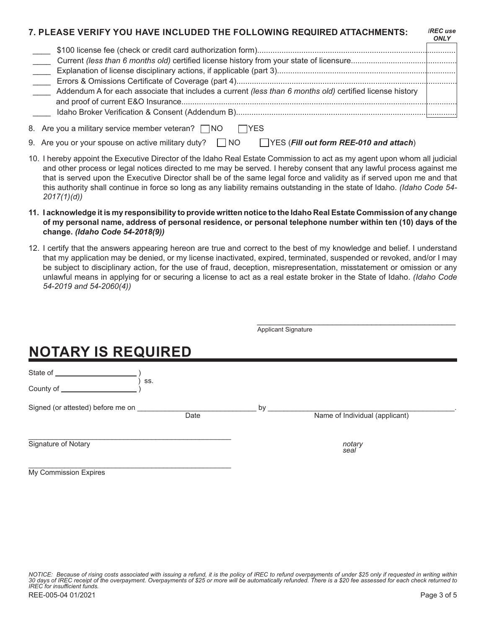#### **7. PLEASE VERIFY YOU HAVE INCLUDED THE FOLLOWING REQUIRED ATTACHMENTS:**

|                                                                                                          | ◡〃 |
|----------------------------------------------------------------------------------------------------------|----|
|                                                                                                          |    |
|                                                                                                          |    |
|                                                                                                          |    |
|                                                                                                          |    |
| Addendum A for each associate that includes a current (less than 6 months old) certified license history |    |
|                                                                                                          |    |
|                                                                                                          |    |
|                                                                                                          |    |

- 8. Are you a military service member veteran? INO IYES
- 9. Are you or your spouse on active military duty? NO **NO YES** (Fill out form REE-010 and attach)
- 10. I hereby appoint the Executive Director of the Idaho Real Estate Commission to act as my agent upon whom all judicial and other process or legal notices directed to me may be served. I hereby consent that any lawful process against me that is served upon the Executive Director shall be of the same legal force and validity as if served upon me and that this authority shall continue in force so long as any liability remains outstanding in the state of Idaho. *(Idaho Code 54- 2017(1)(d))*
- **11. I acknowledge it is my responsibility to provide written notice to the Idaho Real Estate Commission of any change of my personal name, address of personal residence, or personal telephone number within ten (10) days of the change.** *(Idaho Code 54-2018(9))*
- 12. I certify that the answers appearing hereon are true and correct to the best of my knowledge and belief. I understand that my application may be denied, or my license inactivated, expired, terminated, suspended or revoked, and/or I may be subject to disciplinary action, for the use of fraud, deception, misrepresentation, misstatement or omission or any unlawful means in applying for or securing a license to act as a real estate broker in the State of Idaho. *(Idaho Code 54-2019 and 54-2060(4))*

|                                                                                                                       |      | <b>Applicant Signature</b> |                                |  |
|-----------------------------------------------------------------------------------------------------------------------|------|----------------------------|--------------------------------|--|
| <b>NOTARY IS REQUIRED</b>                                                                                             |      |                            |                                |  |
| State of <b>state</b> state and state and state and state and state and state and state and state and state and state |      |                            |                                |  |
| SS.<br>County of __                                                                                                   |      |                            |                                |  |
| Signed (or attested) before me on                                                                                     | Date | by                         | Name of Individual (applicant) |  |
| Signature of Notary                                                                                                   |      |                            | notary<br>seal                 |  |
| <b>My Commission Expires</b>                                                                                          |      |                            |                                |  |

*IREC use ONLY*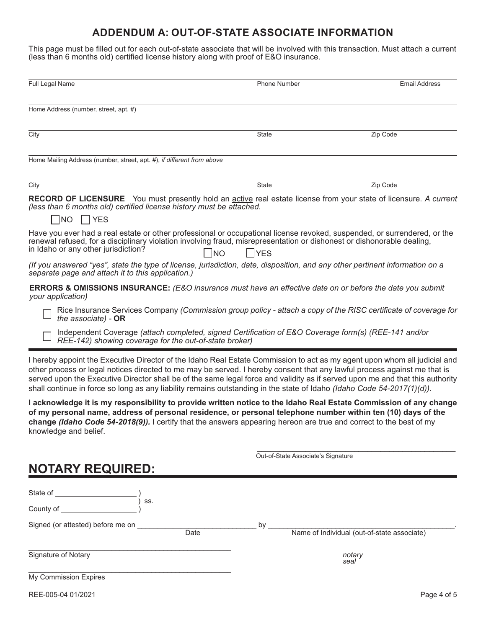### **ADDENDUM A: OUT-OF-STATE ASSOCIATE INFORMATION**

This page must be filled out for each out-of-state associate that will be involved with this transaction. Must attach a current (less than 6 months old) certified license history along with proof of E&O insurance.

| Full Legal Name                                                                                                                                                                                                                                                                                                                                                                                                                                                                                                  | Phone Number        | <b>Email Address</b> |
|------------------------------------------------------------------------------------------------------------------------------------------------------------------------------------------------------------------------------------------------------------------------------------------------------------------------------------------------------------------------------------------------------------------------------------------------------------------------------------------------------------------|---------------------|----------------------|
| Home Address (number, street, apt. #)                                                                                                                                                                                                                                                                                                                                                                                                                                                                            |                     |                      |
| City                                                                                                                                                                                                                                                                                                                                                                                                                                                                                                             | <b>State</b>        | Zip Code             |
| Home Mailing Address (number, street, apt. #), if different from above                                                                                                                                                                                                                                                                                                                                                                                                                                           |                     |                      |
| City                                                                                                                                                                                                                                                                                                                                                                                                                                                                                                             | <b>State</b>        | Zip Code             |
| <b>RECORD OF LICENSURE</b> You must presently hold an active real estate license from your state of licensure. A current<br>(less than 6 months old) certified license history must be attached.                                                                                                                                                                                                                                                                                                                 |                     |                      |
| NO.<br>YES<br>$\Box$                                                                                                                                                                                                                                                                                                                                                                                                                                                                                             |                     |                      |
| Have you ever had a real estate or other professional or occupational license revoked, suspended, or surrendered, or the<br>renewal refused, for a disciplinary violation involving fraud, misrepresentation or dishonest or dishonorable dealing,<br>in Idaho or any other jurisdiction?                                                                                                                                                                                                                        | <b>NO</b><br>l Iyes |                      |
| (If you answered "yes", state the type of license, jurisdiction, date, disposition, and any other pertinent information on a<br>separate page and attach it to this application.)                                                                                                                                                                                                                                                                                                                                |                     |                      |
| <b>ERRORS &amp; OMISSIONS INSURANCE:</b> (E&O insurance must have an effective date on or before the date you submit<br>your application)                                                                                                                                                                                                                                                                                                                                                                        |                     |                      |
| Rice Insurance Services Company (Commission group policy - attach a copy of the RISC certificate of coverage for<br>the associate) - $OR$                                                                                                                                                                                                                                                                                                                                                                        |                     |                      |
| Independent Coverage (attach completed, signed Certification of E&O Coverage form(s) (REE-141 and/or<br>REE-142) showing coverage for the out-of-state broker)                                                                                                                                                                                                                                                                                                                                                   |                     |                      |
| I hereby appoint the Executive Director of the Idaho Real Estate Commission to act as my agent upon whom all judicial and<br>other process or legal notices directed to me may be served. I hereby consent that any lawful process against me that is<br>served upon the Executive Director shall be of the same legal force and validity as if served upon me and that this authority<br>shall continue in force so long as any liability remains outstanding in the state of Idaho (Idaho Code 54-2017(1)(d)). |                     |                      |
| I acknowledge it is my responsibility to provide written notice to the Idaho Real Estate Commission of any change<br>of my nersonal name, address of nersonal residence, or nersonal telephone number within ten (10) days of the                                                                                                                                                                                                                                                                                |                     |                      |

**of my personal name, address of personal residence, or personal telephone number within ten (10) days of the change** *(Idaho Code 54-2018(9)).* I certify that the answers appearing hereon are true and correct to the best of my knowledge and belief.

# \_\_\_\_\_\_\_\_\_\_\_\_\_\_\_\_\_\_\_\_\_\_\_\_\_\_\_\_\_\_\_\_\_\_\_\_\_\_\_\_\_\_\_\_\_ Out-of-State Associate's Signature **NOTARY REQUIRED:** State of \_\_ ) ss. County of \_ Signed (or attested) before me on \_\_\_\_\_\_\_\_\_\_\_\_\_\_\_\_\_\_\_\_\_\_\_\_\_\_\_\_\_\_ by \_\_\_\_\_\_\_\_\_\_\_\_\_\_\_\_\_\_\_\_\_\_\_\_\_\_\_\_\_\_\_\_\_\_\_\_\_\_\_\_\_\_\_\_\_\_\_. Name of Individual (out-of-state associate) \_\_\_\_\_\_\_\_\_\_\_\_\_\_\_\_\_\_\_\_\_\_\_\_\_\_\_\_\_\_\_\_\_\_\_\_\_\_\_\_\_\_\_\_\_\_\_\_\_\_\_ Signature of Notary *notary**seal* \_\_\_\_\_\_\_\_\_\_\_\_\_\_\_\_\_\_\_\_\_\_\_\_\_\_\_\_\_\_\_\_\_\_\_\_\_\_\_\_\_\_\_\_\_\_\_\_\_\_\_ My Commission Expires